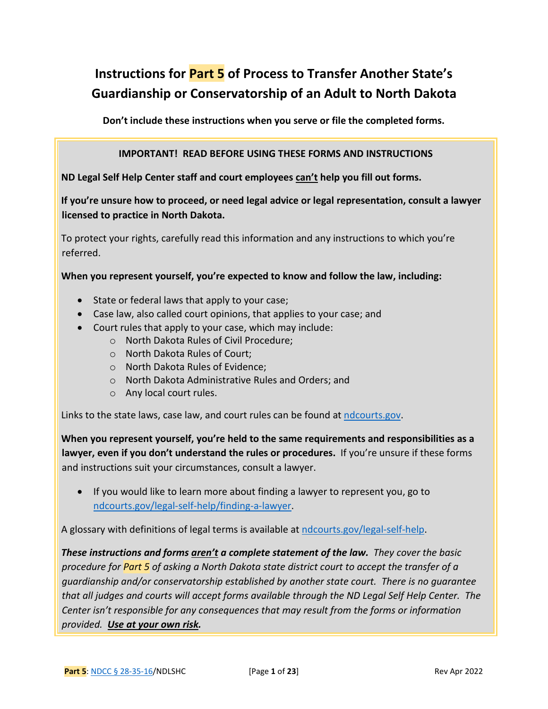# **Instructions for Part 5 of Process to Transfer Another State's Guardianship or Conservatorship of an Adult to North Dakota**

**Don't include these instructions when you serve or file the completed forms.** 

#### **IMPORTANT! READ BEFORE USING THESE FORMS AND INSTRUCTIONS**

**ND Legal Self Help Center staff and court employees can't help you fill out forms.**

**If you're unsure how to proceed, or need legal advice or legal representation, consult a lawyer licensed to practice in North Dakota.**

To protect your rights, carefully read this information and any instructions to which you're referred.

**When you represent yourself, you're expected to know and follow the law, including:** 

- State or federal laws that apply to your case;
- Case law, also called court opinions, that applies to your case; and
- Court rules that apply to your case, which may include:
	- o North Dakota Rules of Civil Procedure;
	- o North Dakota Rules of Court;
	- o North Dakota Rules of Evidence;
	- o North Dakota Administrative Rules and Orders; and
	- o Any local court rules.

Links to the state laws, case law, and court rules can be found at [ndcourts.gov.](http://www.ndcourts.gov/)

**When you represent yourself, you're held to the same requirements and responsibilities as a lawyer, even if you don't understand the rules or procedures.** If you're unsure if these forms and instructions suit your circumstances, consult a lawyer.

• If you would like to learn more about finding a lawyer to represent you, go to [ndcourts.gov/legal-self-help/finding-a-lawyer.](https://www.ndcourts.gov/legal-self-help/finding-a-lawyer)

A glossary with definitions of legal terms is available at [ndcourts.gov/legal-self-help.](https://www.ndcourts.gov/legal-self-help)

*These instructions and forms aren't a complete statement of the law. They cover the basic procedure for Part 5 of asking a North Dakota state district court to accept the transfer of a guardianship and/or conservatorship established by another state court. There is no guarantee that all judges and courts will accept forms available through the ND Legal Self Help Center. The Center isn't responsible for any consequences that may result from the forms or information provided. Use at your own risk.*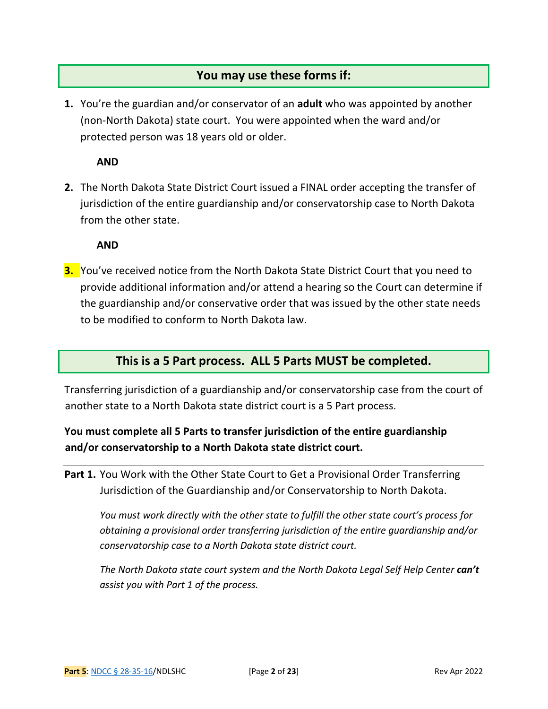## **You may use these forms if:**

**1.** You're the guardian and/or conservator of an **adult** who was appointed by another (non-North Dakota) state court. You were appointed when the ward and/or protected person was 18 years old or older.

**AND**

**2.** The North Dakota State District Court issued a FINAL order accepting the transfer of jurisdiction of the entire guardianship and/or conservatorship case to North Dakota from the other state.

**AND**

**3.** You've received notice from the North Dakota State District Court that you need to provide additional information and/or attend a hearing so the Court can determine if the guardianship and/or conservative order that was issued by the other state needs to be modified to conform to North Dakota law.

### **This is a 5 Part process. ALL 5 Parts MUST be completed.**

Transferring jurisdiction of a guardianship and/or conservatorship case from the court of another state to a North Dakota state district court is a 5 Part process.

### **You must complete all 5 Parts to transfer jurisdiction of the entire guardianship and/or conservatorship to a North Dakota state district court.**

**Part 1.** You Work with the Other State Court to Get a Provisional Order Transferring Jurisdiction of the Guardianship and/or Conservatorship to North Dakota.

*You must work directly with the other state to fulfill the other state court's process for obtaining a provisional order transferring jurisdiction of the entire guardianship and/or conservatorship case to a North Dakota state district court.*

*The North Dakota state court system and the North Dakota Legal Self Help Center can't assist you with Part 1 of the process.*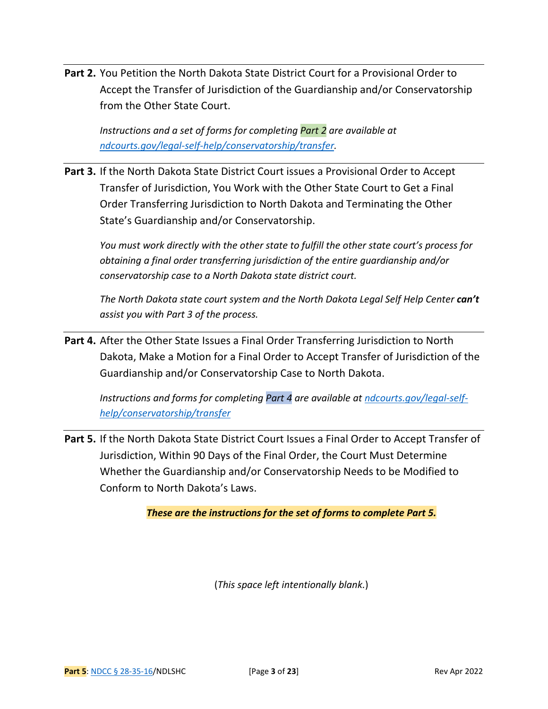**Part 2.** You Petition the North Dakota State District Court for a Provisional Order to Accept the Transfer of Jurisdiction of the Guardianship and/or Conservatorship from the Other State Court.

*Instructions and a set of forms for completing Part 2 are available at [ndcourts.gov/legal-self-help/conservatorship/transfer.](https://www.ndcourts.gov/legal-self-help/conservatorship/transfer)* 

**Part 3.** If the North Dakota State District Court issues a Provisional Order to Accept Transfer of Jurisdiction, You Work with the Other State Court to Get a Final Order Transferring Jurisdiction to North Dakota and Terminating the Other State's Guardianship and/or Conservatorship.

*You must work directly with the other state to fulfill the other state court's process for obtaining a final order transferring jurisdiction of the entire guardianship and/or conservatorship case to a North Dakota state district court.*

*The North Dakota state court system and the North Dakota Legal Self Help Center can't assist you with Part 3 of the process.*

Part 4. After the Other State Issues a Final Order Transferring Jurisdiction to North Dakota, Make a Motion for a Final Order to Accept Transfer of Jurisdiction of the Guardianship and/or Conservatorship Case to North Dakota.

*Instructions and forms for completing Part 4 are available at [ndcourts.gov/legal-self](https://www.ndcourts.gov/legal-self-help/conservatorship/transfer)[help/conservatorship/transfer](https://www.ndcourts.gov/legal-self-help/conservatorship/transfer)*

**Part 5.** If the North Dakota State District Court Issues a Final Order to Accept Transfer of Jurisdiction, Within 90 Days of the Final Order, the Court Must Determine Whether the Guardianship and/or Conservatorship Needs to be Modified to Conform to North Dakota's Laws.

*These are the instructions for the set of forms to complete Part 5.*

(*This space left intentionally blank.*)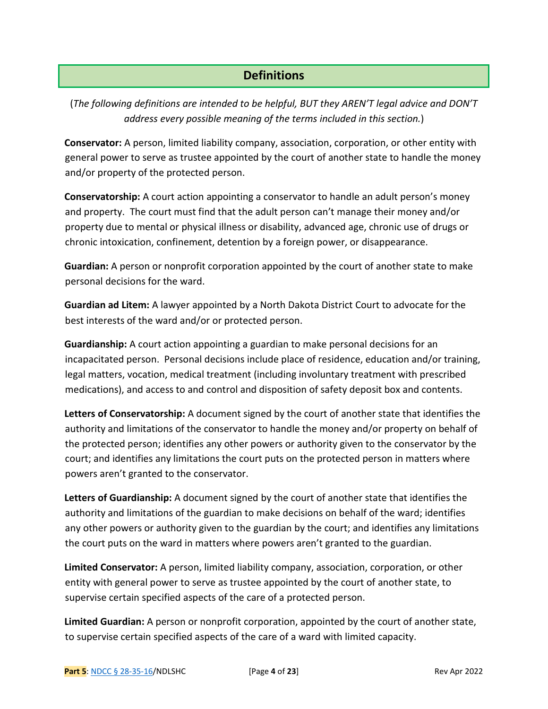# **Definitions**

(*The following definitions are intended to be helpful, BUT they AREN'T legal advice and DON'T address every possible meaning of the terms included in this section.*)

**Conservator:** A person, limited liability company, association, corporation, or other entity with general power to serve as trustee appointed by the court of another state to handle the money and/or property of the protected person.

**Conservatorship:** A court action appointing a conservator to handle an adult person's money and property. The court must find that the adult person can't manage their money and/or property due to mental or physical illness or disability, advanced age, chronic use of drugs or chronic intoxication, confinement, detention by a foreign power, or disappearance.

**Guardian:** A person or nonprofit corporation appointed by the court of another state to make personal decisions for the ward.

**Guardian ad Litem:** A lawyer appointed by a North Dakota District Court to advocate for the best interests of the ward and/or or protected person.

**Guardianship:** A court action appointing a guardian to make personal decisions for an incapacitated person. Personal decisions include place of residence, education and/or training, legal matters, vocation, medical treatment (including involuntary treatment with prescribed medications), and access to and control and disposition of safety deposit box and contents.

**Letters of Conservatorship:** A document signed by the court of another state that identifies the authority and limitations of the conservator to handle the money and/or property on behalf of the protected person; identifies any other powers or authority given to the conservator by the court; and identifies any limitations the court puts on the protected person in matters where powers aren't granted to the conservator.

**Letters of Guardianship:** A document signed by the court of another state that identifies the authority and limitations of the guardian to make decisions on behalf of the ward; identifies any other powers or authority given to the guardian by the court; and identifies any limitations the court puts on the ward in matters where powers aren't granted to the guardian.

**Limited Conservator:** A person, limited liability company, association, corporation, or other entity with general power to serve as trustee appointed by the court of another state, to supervise certain specified aspects of the care of a protected person.

**Limited Guardian:** A person or nonprofit corporation, appointed by the court of another state, to supervise certain specified aspects of the care of a ward with limited capacity.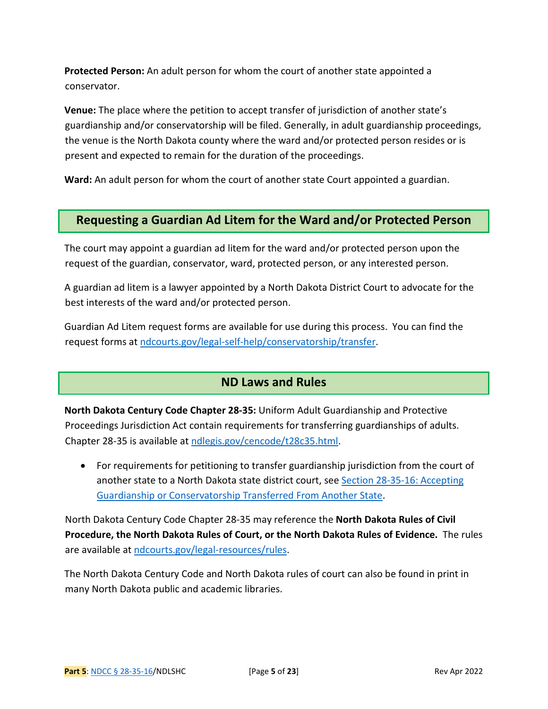**Protected Person:** An adult person for whom the court of another state appointed a conservator.

**Venue:** The place where the petition to accept transfer of jurisdiction of another state's guardianship and/or conservatorship will be filed. Generally, in adult guardianship proceedings, the venue is the North Dakota county where the ward and/or protected person resides or is present and expected to remain for the duration of the proceedings.

**Ward:** An adult person for whom the court of another state Court appointed a guardian.

### **Requesting a Guardian Ad Litem for the Ward and/or Protected Person**

The court may appoint a guardian ad litem for the ward and/or protected person upon the request of the guardian, conservator, ward, protected person, or any interested person.

A guardian ad litem is a lawyer appointed by a North Dakota District Court to advocate for the best interests of the ward and/or protected person.

Guardian Ad Litem request forms are available for use during this process. You can find the request forms at [ndcourts.gov/legal-self-help/conservatorship/transfer.](https://www.ndcourts.gov/legal-self-help/conservatorship/transfer)

### **ND Laws and Rules**

**North Dakota Century Code Chapter 28-35:** Uniform Adult Guardianship and Protective Proceedings Jurisdiction Act contain requirements for transferring guardianships of adults. Chapter 28-35 is available a[t ndlegis.gov/cencode/t28c35.html.](https://ndlegis.gov/cencode/t28c35.html)

• For requirements for petitioning to transfer guardianship jurisdiction from the court of another state to a North Dakota state district court, see Section 28-35-16: Accepting [Guardianship or Conservatorship Transferred From Another State.](https://ndlegis.gov/cencode/t28c35.pdf#nameddest=28-35-16)

North Dakota Century Code Chapter 28-35 may reference the **North Dakota Rules of Civil Procedure, the North Dakota Rules of Court, or the North Dakota Rules of Evidence.** The rules are available a[t ndcourts.gov/legal-resources/rules.](https://www.ndcourts.gov/legal-resources/rules)

The North Dakota Century Code and North Dakota rules of court can also be found in print in many North Dakota public and academic libraries.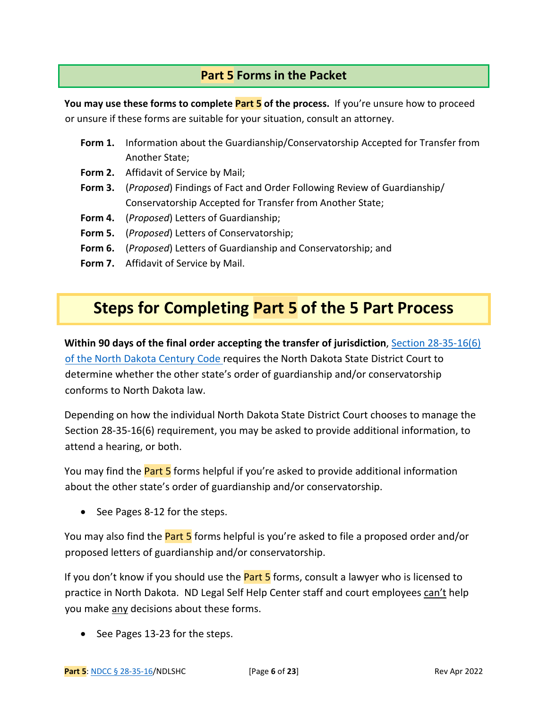# **Part 5 Forms in the Packet**

You may use these forms to complete **Part 5** of the process. If you're unsure how to proceed or unsure if these forms are suitable for your situation, consult an attorney.

- **Form 1.** Information about the Guardianship/Conservatorship Accepted for Transfer from Another State;
- **Form 2.** Affidavit of Service by Mail;
- **Form 3.** (*Proposed*) Findings of Fact and Order Following Review of Guardianship/ Conservatorship Accepted for Transfer from Another State;
- **Form 4.** (*Proposed*) Letters of Guardianship;
- **Form 5.** (*Proposed*) Letters of Conservatorship;
- **Form 6.** (*Proposed*) Letters of Guardianship and Conservatorship; and
- **Form 7.** Affidavit of Service by Mail.

# **Steps for Completing Part 5 of the 5 Part Process**

**Within 90 days of the final order accepting the transfer of jurisdiction**, [Section 28-35-16\(6\)](https://ndlegis.gov/cencode/t28c35.pdf#nameddest=28-35-16)  [of the North Dakota Century Code r](https://ndlegis.gov/cencode/t28c35.pdf#nameddest=28-35-16)equires the North Dakota State District Court to determine whether the other state's order of guardianship and/or conservatorship conforms to North Dakota law.

Depending on how the individual North Dakota State District Court chooses to manage the Section 28-35-16(6) requirement, you may be asked to provide additional information, to attend a hearing, or both.

You may find the **Part 5** forms helpful if you're asked to provide additional information about the other state's order of guardianship and/or conservatorship.

• See Pages 8-12 for the steps.

You may also find the **Part 5** forms helpful is you're asked to file a proposed order and/or proposed letters of guardianship and/or conservatorship.

If you don't know if you should use the **Part 5** forms, consult a lawyer who is licensed to practice in North Dakota. ND Legal Self Help Center staff and court employees can't help you make any decisions about these forms.

• See Pages 13-23 for the steps.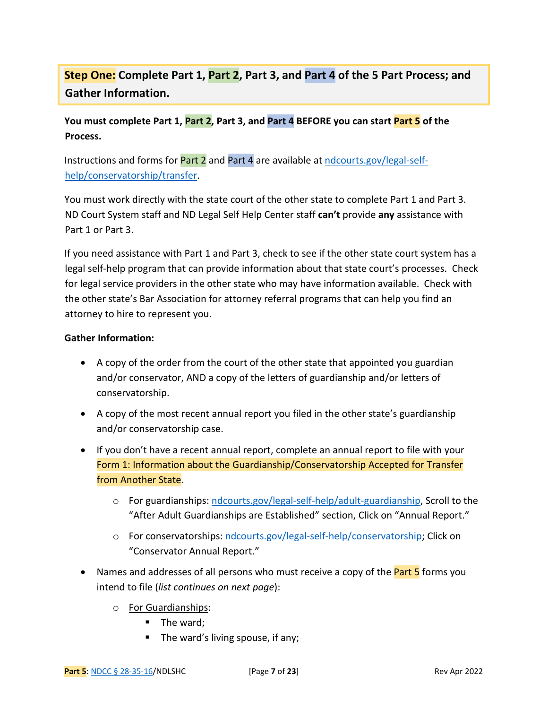# **Step One: Complete Part 1, Part 2, Part 3, and Part 4 of the 5 Part Process; and Gather Information.**

### **You must complete Part 1, Part 2, Part 3, and Part 4 BEFORE you can start Part 5 of the Process.**

Instructions and forms for Part 2 and Part 4 are available at [ndcourts.gov/legal-self](https://www.ndcourts.gov/legal-self-help/conservatorship/transfer)[help/conservatorship/transfer.](https://www.ndcourts.gov/legal-self-help/conservatorship/transfer)

You must work directly with the state court of the other state to complete Part 1 and Part 3. ND Court System staff and ND Legal Self Help Center staff **can't** provide **any** assistance with Part 1 or Part 3.

If you need assistance with Part 1 and Part 3, check to see if the other state court system has a legal self-help program that can provide information about that state court's processes. Check for legal service providers in the other state who may have information available. Check with the other state's Bar Association for attorney referral programs that can help you find an attorney to hire to represent you.

#### **Gather Information:**

- A copy of the order from the court of the other state that appointed you guardian and/or conservator, AND a copy of the letters of guardianship and/or letters of conservatorship.
- A copy of the most recent annual report you filed in the other state's guardianship and/or conservatorship case.
- If you don't have a recent annual report, complete an annual report to file with your Form 1: Information about the Guardianship/Conservatorship Accepted for Transfer from Another State.
	- o For guardianships: [ndcourts.gov/legal-self-help/adult-guardianship,](https://www.ndcourts.gov/legal-self-help/adult-guardianship) Scroll to the "After Adult Guardianships are Established" section, Click on "Annual Report."
	- o For conservatorships[: ndcourts.gov/legal-self-help/conservatorship;](https://www.ndcourts.gov/legal-self-help/conservatorship) Click on "Conservator Annual Report."
- Names and addresses of all persons who must receive a copy of the **Part 5** forms you intend to file (*list continues on next page*):
	- o For Guardianships:
		- $\blacksquare$  The ward;
		- The ward's living spouse, if any;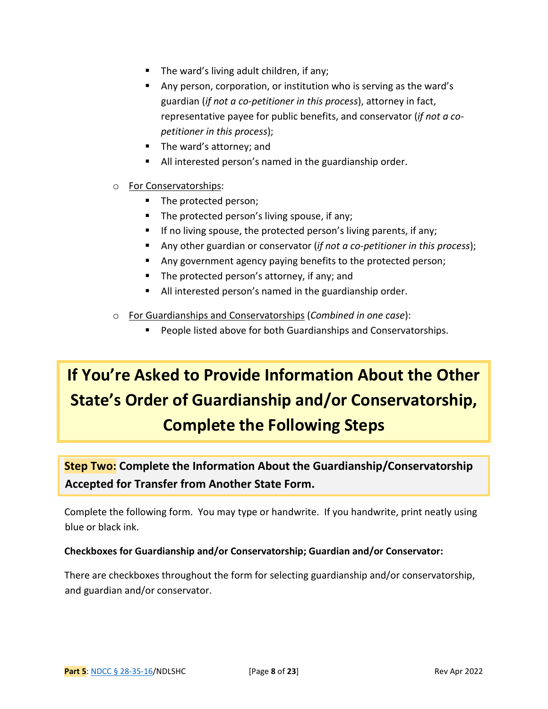- The ward's living adult children, if any;
- Any person, corporation, or institution who is serving as the ward's guardian (*if not a co-petitioner in this process*), attorney in fact, representative payee for public benefits, and conservator (*if not a copetitioner in this process*);
- The ward's attorney; and
- All interested person's named in the guardianship order.

#### o For Conservatorships:

- The protected person;
- The protected person's living spouse, if any;
- $\blacksquare$  If no living spouse, the protected person's living parents, if any;
- Any other guardian or conservator (*if not a co-petitioner in this process*);
- Any government agency paying benefits to the protected person;
- The protected person's attorney, if any; and
- All interested person's named in the guardianship order.
- o For Guardianships and Conservatorships (*Combined in one case*):
	- **People listed above for both Guardianships and Conservatorships.**

# **If You're Asked to Provide Information About the Other State's Order of Guardianship and/or Conservatorship, Complete the Following Steps**

# **Step Two: Complete the Information About the Guardianship/Conservatorship Accepted for Transfer from Another State Form.**

Complete the following form. You may type or handwrite. If you handwrite, print neatly using blue or black ink.

#### **Checkboxes for Guardianship and/or Conservatorship; Guardian and/or Conservator:**

There are checkboxes throughout the form for selecting guardianship and/or conservatorship, and guardian and/or conservator.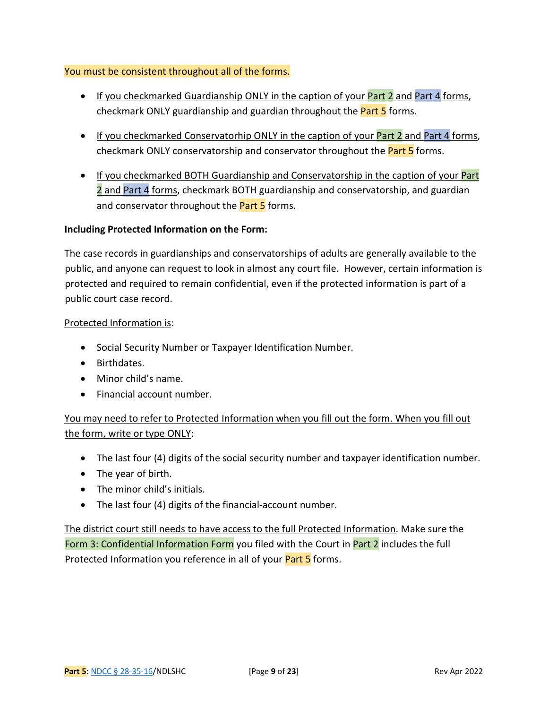#### You must be consistent throughout all of the forms.

- If you checkmarked Guardianship ONLY in the caption of your **Part 2** and Part 4 forms, checkmark ONLY guardianship and guardian throughout the **Part 5** forms.
- If you checkmarked Conservatorhip ONLY in the caption of your Part 2 and Part 4 forms, checkmark ONLY conservatorship and conservator throughout the **Part 5** forms.
- If you checkmarked BOTH Guardianship and Conservatorship in the caption of your Part 2 and Part 4 forms, checkmark BOTH guardianship and conservatorship, and guardian and conservator throughout the **Part 5** forms.

#### **Including Protected Information on the Form:**

The case records in guardianships and conservatorships of adults are generally available to the public, and anyone can request to look in almost any court file. However, certain information is protected and required to remain confidential, even if the protected information is part of a public court case record.

#### Protected Information is:

- Social Security Number or Taxpayer Identification Number.
- Birthdates.
- Minor child's name.
- Financial account number.

You may need to refer to Protected Information when you fill out the form. When you fill out the form, write or type ONLY:

- The last four (4) digits of the social security number and taxpayer identification number.
- The year of birth.
- The minor child's initials.
- The last four (4) digits of the financial-account number.

The district court still needs to have access to the full Protected Information. Make sure the Form 3: Confidential Information Form you filed with the Court in Part 2 includes the full Protected Information you reference in all of your **Part 5** forms.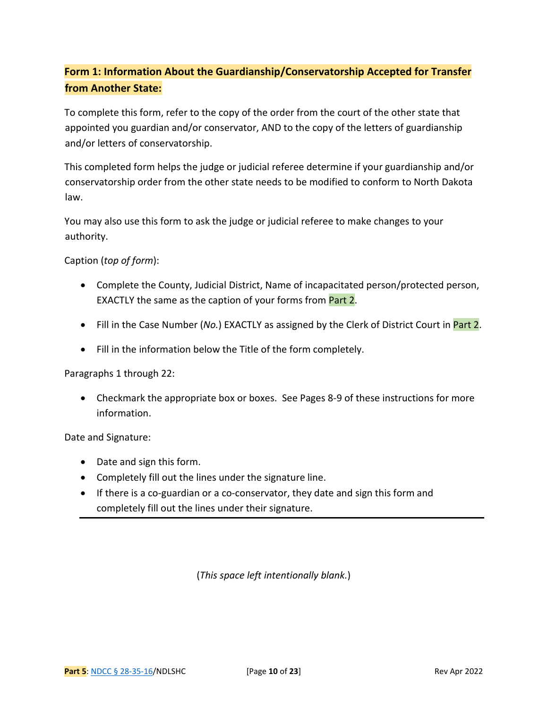# **Form 1: Information About the Guardianship/Conservatorship Accepted for Transfer from Another State:**

To complete this form, refer to the copy of the order from the court of the other state that appointed you guardian and/or conservator, AND to the copy of the letters of guardianship and/or letters of conservatorship.

This completed form helps the judge or judicial referee determine if your guardianship and/or conservatorship order from the other state needs to be modified to conform to North Dakota law.

You may also use this form to ask the judge or judicial referee to make changes to your authority.

Caption (*top of form*):

- Complete the County, Judicial District, Name of incapacitated person/protected person, EXACTLY the same as the caption of your forms from Part 2.
- Fill in the Case Number (*No.*) EXACTLY as assigned by the Clerk of District Court in Part 2.
- Fill in the information below the Title of the form completely.

Paragraphs 1 through 22:

• Checkmark the appropriate box or boxes. See Pages 8-9 of these instructions for more information.

Date and Signature:

- Date and sign this form.
- Completely fill out the lines under the signature line.
- If there is a co-guardian or a co-conservator, they date and sign this form and completely fill out the lines under their signature.

(*This space left intentionally blank.*)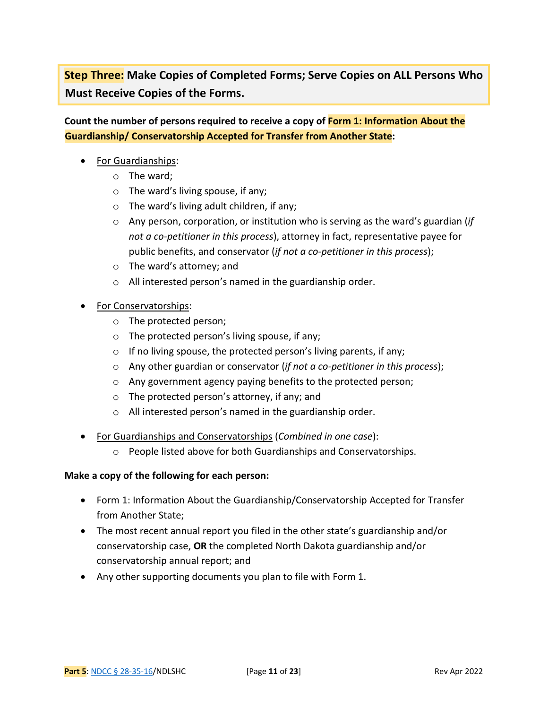**Step Three: Make Copies of Completed Forms; Serve Copies on ALL Persons Who Must Receive Copies of the Forms.** 

**Count the number of persons required to receive a copy of Form 1: Information About the Guardianship/ Conservatorship Accepted for Transfer from Another State:** 

- For Guardianships:
	- o The ward;
	- o The ward's living spouse, if any;
	- o The ward's living adult children, if any;
	- o Any person, corporation, or institution who is serving as the ward's guardian (*if not a co-petitioner in this process*), attorney in fact, representative payee for public benefits, and conservator (*if not a co-petitioner in this process*);
	- o The ward's attorney; and
	- o All interested person's named in the guardianship order.
- For Conservatorships:
	- o The protected person;
	- o The protected person's living spouse, if any;
	- $\circ$  If no living spouse, the protected person's living parents, if any;
	- o Any other guardian or conservator (*if not a co-petitioner in this process*);
	- o Any government agency paying benefits to the protected person;
	- o The protected person's attorney, if any; and
	- o All interested person's named in the guardianship order.
- For Guardianships and Conservatorships (*Combined in one case*):
	- o People listed above for both Guardianships and Conservatorships.

#### **Make a copy of the following for each person:**

- Form 1: Information About the Guardianship/Conservatorship Accepted for Transfer from Another State;
- The most recent annual report you filed in the other state's guardianship and/or conservatorship case, **OR** the completed North Dakota guardianship and/or conservatorship annual report; and
- Any other supporting documents you plan to file with Form 1.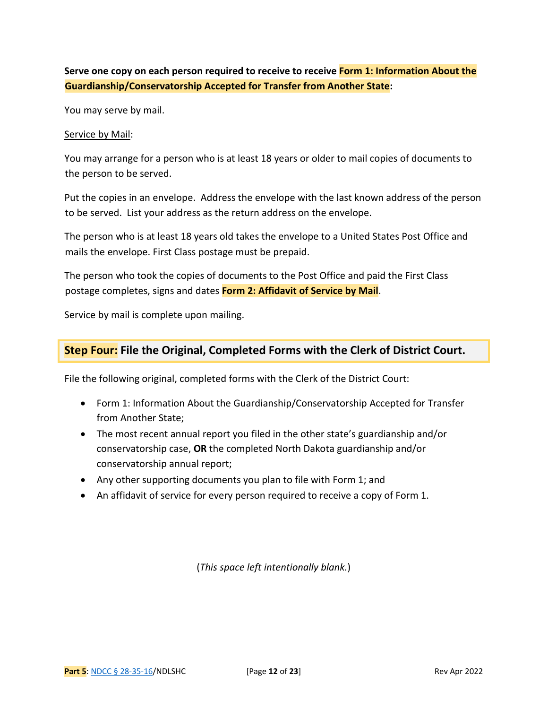### **Serve one copy on each person required to receive to receive Form 1: Information About the Guardianship/Conservatorship Accepted for Transfer from Another State:**

You may serve by mail.

#### Service by Mail:

You may arrange for a person who is at least 18 years or older to mail copies of documents to the person to be served.

Put the copies in an envelope. Address the envelope with the last known address of the person to be served. List your address as the return address on the envelope.

The person who is at least 18 years old takes the envelope to a United States Post Office and mails the envelope. First Class postage must be prepaid.

The person who took the copies of documents to the Post Office and paid the First Class postage completes, signs and dates **Form 2: Affidavit of Service by Mail**.

Service by mail is complete upon mailing.

#### **Step Four: File the Original, Completed Forms with the Clerk of District Court.**

File the following original, completed forms with the Clerk of the District Court:

- Form 1: Information About the Guardianship/Conservatorship Accepted for Transfer from Another State;
- The most recent annual report you filed in the other state's guardianship and/or conservatorship case, **OR** the completed North Dakota guardianship and/or conservatorship annual report;
- Any other supporting documents you plan to file with Form 1; and
- An affidavit of service for every person required to receive a copy of Form 1.

(*This space left intentionally blank.*)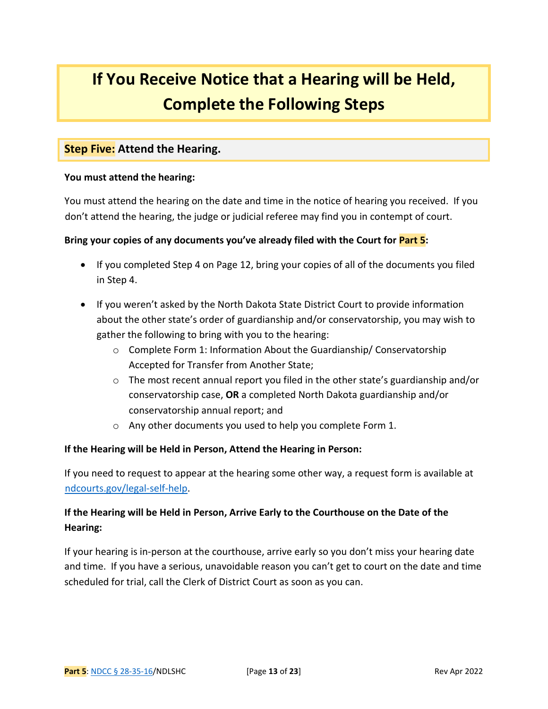# **If You Receive Notice that a Hearing will be Held, Complete the Following Steps**

#### **Step Five: Attend the Hearing.**

#### **You must attend the hearing:**

You must attend the hearing on the date and time in the notice of hearing you received. If you don't attend the hearing, the judge or judicial referee may find you in contempt of court.

#### **Bring your copies of any documents you've already filed with the Court for Part 5:**

- If you completed Step 4 on Page 12, bring your copies of all of the documents you filed in Step 4.
- If you weren't asked by the North Dakota State District Court to provide information about the other state's order of guardianship and/or conservatorship, you may wish to gather the following to bring with you to the hearing:
	- o Complete Form 1: Information About the Guardianship/ Conservatorship Accepted for Transfer from Another State;
	- $\circ$  The most recent annual report you filed in the other state's guardianship and/or conservatorship case, **OR** a completed North Dakota guardianship and/or conservatorship annual report; and
	- o Any other documents you used to help you complete Form 1.

#### **If the Hearing will be Held in Person, Attend the Hearing in Person:**

If you need to request to appear at the hearing some other way, a request form is available at [ndcourts.gov/legal-self-help.](https://www.ndcourts.gov/Media/Default/Legal%20Resources/Legal%20Self%20Help/Other%20Forms/Motion-to-Appear-By-OREM.pdf)

### **If the Hearing will be Held in Person, Arrive Early to the Courthouse on the Date of the Hearing:**

If your hearing is in-person at the courthouse, arrive early so you don't miss your hearing date and time. If you have a serious, unavoidable reason you can't get to court on the date and time scheduled for trial, call the Clerk of District Court as soon as you can.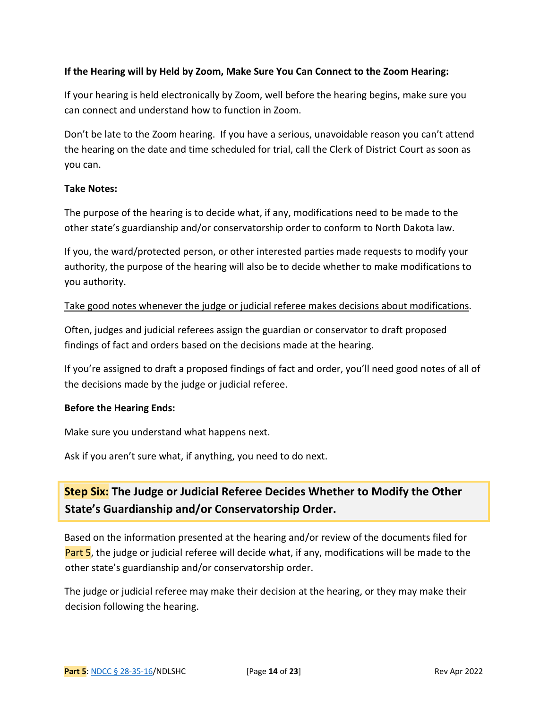#### **If the Hearing will by Held by Zoom, Make Sure You Can Connect to the Zoom Hearing:**

If your hearing is held electronically by Zoom, well before the hearing begins, make sure you can connect and understand how to function in Zoom.

Don't be late to the Zoom hearing. If you have a serious, unavoidable reason you can't attend the hearing on the date and time scheduled for trial, call the Clerk of District Court as soon as you can.

#### **Take Notes:**

The purpose of the hearing is to decide what, if any, modifications need to be made to the other state's guardianship and/or conservatorship order to conform to North Dakota law.

If you, the ward/protected person, or other interested parties made requests to modify your authority, the purpose of the hearing will also be to decide whether to make modifications to you authority.

#### Take good notes whenever the judge or judicial referee makes decisions about modifications.

Often, judges and judicial referees assign the guardian or conservator to draft proposed findings of fact and orders based on the decisions made at the hearing.

If you're assigned to draft a proposed findings of fact and order, you'll need good notes of all of the decisions made by the judge or judicial referee.

#### **Before the Hearing Ends:**

Make sure you understand what happens next.

Ask if you aren't sure what, if anything, you need to do next.

# **Step Six: The Judge or Judicial Referee Decides Whether to Modify the Other State's Guardianship and/or Conservatorship Order.**

Based on the information presented at the hearing and/or review of the documents filed for Part 5, the judge or judicial referee will decide what, if any, modifications will be made to the other state's guardianship and/or conservatorship order.

The judge or judicial referee may make their decision at the hearing, or they may make their decision following the hearing.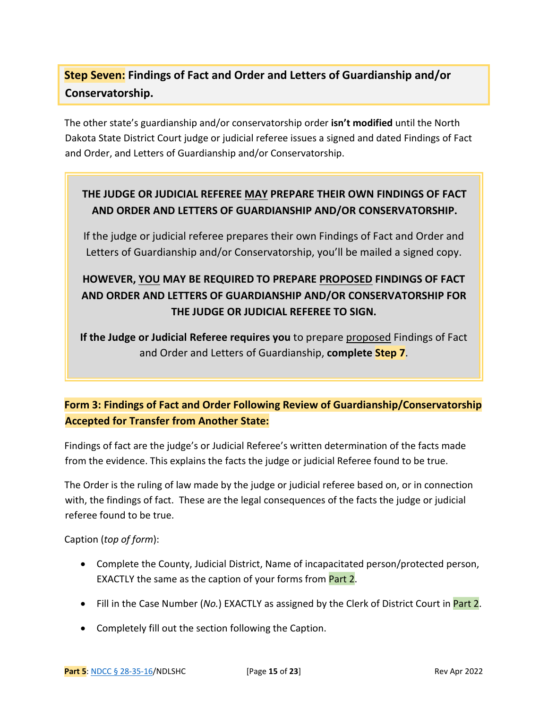# **Step Seven: Findings of Fact and Order and Letters of Guardianship and/or Conservatorship.**

The other state's guardianship and/or conservatorship order **isn't modified** until the North Dakota State District Court judge or judicial referee issues a signed and dated Findings of Fact and Order, and Letters of Guardianship and/or Conservatorship.

## **THE JUDGE OR JUDICIAL REFEREE MAY PREPARE THEIR OWN FINDINGS OF FACT AND ORDER AND LETTERS OF GUARDIANSHIP AND/OR CONSERVATORSHIP.**

If the judge or judicial referee prepares their own Findings of Fact and Order and Letters of Guardianship and/or Conservatorship, you'll be mailed a signed copy.

# **HOWEVER, YOU MAY BE REQUIRED TO PREPARE PROPOSED FINDINGS OF FACT AND ORDER AND LETTERS OF GUARDIANSHIP AND/OR CONSERVATORSHIP FOR THE JUDGE OR JUDICIAL REFEREE TO SIGN.**

**If the Judge or Judicial Referee requires you** to prepare proposed Findings of Fact and Order and Letters of Guardianship, **complete Step 7**.

# **Form 3: Findings of Fact and Order Following Review of Guardianship/Conservatorship Accepted for Transfer from Another State:**

Findings of fact are the judge's or Judicial Referee's written determination of the facts made from the evidence. This explains the facts the judge or judicial Referee found to be true.

The Order is the ruling of law made by the judge or judicial referee based on, or in connection with, the findings of fact. These are the legal consequences of the facts the judge or judicial referee found to be true.

#### Caption (*top of form*):

- Complete the County, Judicial District, Name of incapacitated person/protected person, EXACTLY the same as the caption of your forms from Part 2.
- Fill in the Case Number (*No.*) EXACTLY as assigned by the Clerk of District Court in Part 2.
- Completely fill out the section following the Caption.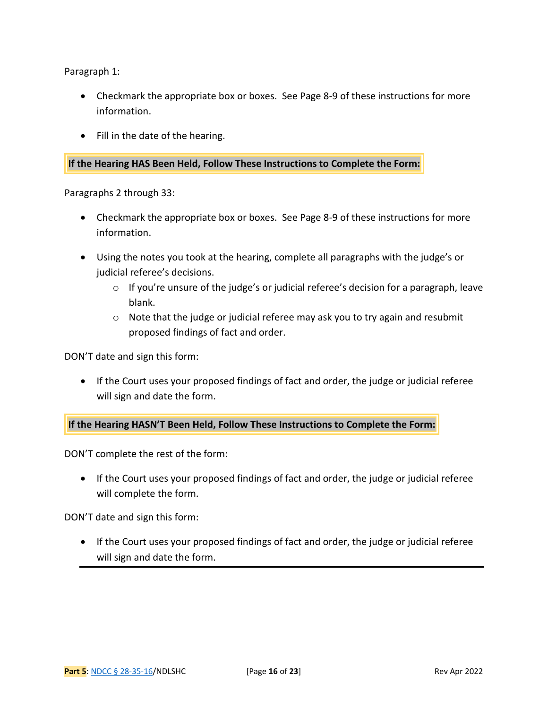Paragraph 1:

- Checkmark the appropriate box or boxes. See Page 8-9 of these instructions for more information.
- Fill in the date of the hearing.

#### **If the Hearing HAS Been Held, Follow These Instructions to Complete the Form:**

Paragraphs 2 through 33:

- Checkmark the appropriate box or boxes. See Page 8-9 of these instructions for more information.
- Using the notes you took at the hearing, complete all paragraphs with the judge's or judicial referee's decisions.
	- o If you're unsure of the judge's or judicial referee's decision for a paragraph, leave blank.
	- o Note that the judge or judicial referee may ask you to try again and resubmit proposed findings of fact and order.

DON'T date and sign this form:

• If the Court uses your proposed findings of fact and order, the judge or judicial referee will sign and date the form.

**If the Hearing HASN'T Been Held, Follow These Instructions to Complete the Form:**

DON'T complete the rest of the form:

• If the Court uses your proposed findings of fact and order, the judge or judicial referee will complete the form.

DON'T date and sign this form:

• If the Court uses your proposed findings of fact and order, the judge or judicial referee will sign and date the form.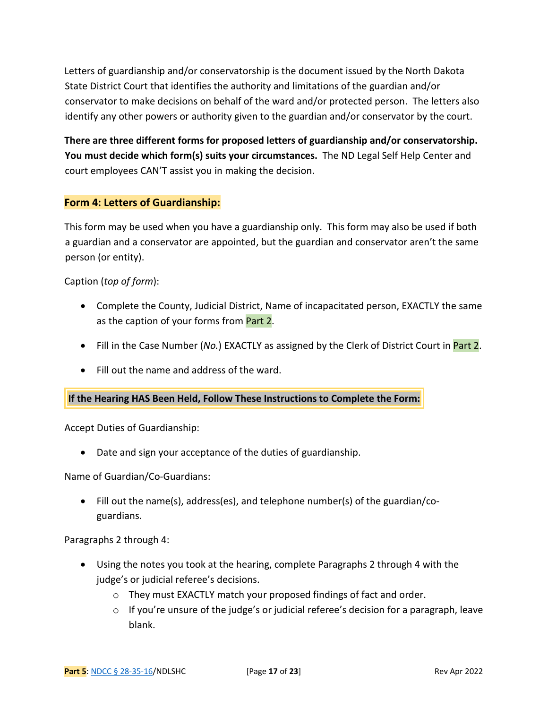Letters of guardianship and/or conservatorship is the document issued by the North Dakota State District Court that identifies the authority and limitations of the guardian and/or conservator to make decisions on behalf of the ward and/or protected person. The letters also identify any other powers or authority given to the guardian and/or conservator by the court.

**There are three different forms for proposed letters of guardianship and/or conservatorship. You must decide which form(s) suits your circumstances.** The ND Legal Self Help Center and court employees CAN'T assist you in making the decision.

#### **Form 4: Letters of Guardianship:**

This form may be used when you have a guardianship only. This form may also be used if both a guardian and a conservator are appointed, but the guardian and conservator aren't the same person (or entity).

#### Caption (*top of form*):

- Complete the County, Judicial District, Name of incapacitated person, EXACTLY the same as the caption of your forms from **Part 2.**
- Fill in the Case Number (*No.*) EXACTLY as assigned by the Clerk of District Court in Part 2.
- Fill out the name and address of the ward.

#### **If the Hearing HAS Been Held, Follow These Instructions to Complete the Form:**

Accept Duties of Guardianship:

• Date and sign your acceptance of the duties of guardianship.

Name of Guardian/Co-Guardians:

• Fill out the name(s), address(es), and telephone number(s) of the guardian/coguardians.

Paragraphs 2 through 4:

- Using the notes you took at the hearing, complete Paragraphs 2 through 4 with the judge's or judicial referee's decisions.
	- o They must EXACTLY match your proposed findings of fact and order.
	- $\circ$  If you're unsure of the judge's or judicial referee's decision for a paragraph, leave blank.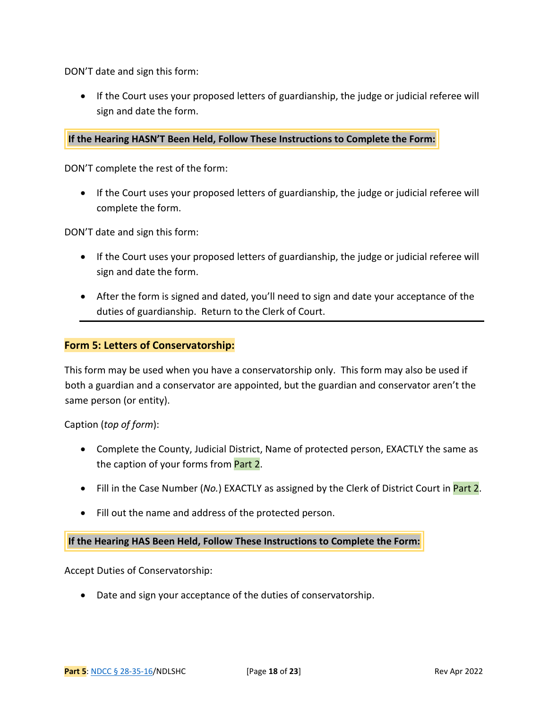DON'T date and sign this form:

• If the Court uses your proposed letters of guardianship, the judge or judicial referee will sign and date the form.

#### **If the Hearing HASN'T Been Held, Follow These Instructions to Complete the Form:**

DON'T complete the rest of the form:

• If the Court uses your proposed letters of guardianship, the judge or judicial referee will complete the form.

DON'T date and sign this form:

- If the Court uses your proposed letters of guardianship, the judge or judicial referee will sign and date the form.
- After the form is signed and dated, you'll need to sign and date your acceptance of the duties of guardianship. Return to the Clerk of Court.

#### **Form 5: Letters of Conservatorship:**

This form may be used when you have a conservatorship only. This form may also be used if both a guardian and a conservator are appointed, but the guardian and conservator aren't the same person (or entity).

Caption (*top of form*):

- Complete the County, Judicial District, Name of protected person, EXACTLY the same as the caption of your forms from Part 2.
- Fill in the Case Number (*No.*) EXACTLY as assigned by the Clerk of District Court in Part 2.
- Fill out the name and address of the protected person.

**If the Hearing HAS Been Held, Follow These Instructions to Complete the Form:**

Accept Duties of Conservatorship:

• Date and sign your acceptance of the duties of conservatorship.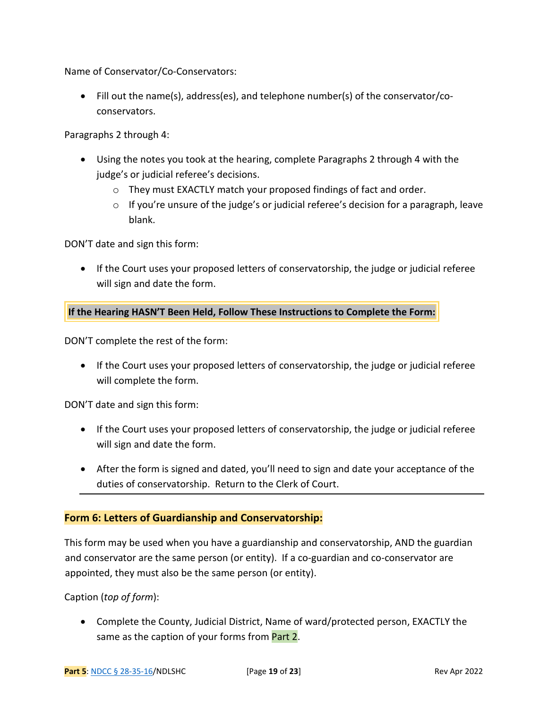Name of Conservator/Co-Conservators:

• Fill out the name(s), address(es), and telephone number(s) of the conservator/coconservators.

Paragraphs 2 through 4:

- Using the notes you took at the hearing, complete Paragraphs 2 through 4 with the judge's or judicial referee's decisions.
	- o They must EXACTLY match your proposed findings of fact and order.
	- $\circ$  If you're unsure of the judge's or judicial referee's decision for a paragraph, leave blank.

DON'T date and sign this form:

• If the Court uses your proposed letters of conservatorship, the judge or judicial referee will sign and date the form.

**If the Hearing HASN'T Been Held, Follow These Instructions to Complete the Form:**

DON'T complete the rest of the form:

• If the Court uses your proposed letters of conservatorship, the judge or judicial referee will complete the form.

DON'T date and sign this form:

- If the Court uses your proposed letters of conservatorship, the judge or judicial referee will sign and date the form.
- After the form is signed and dated, you'll need to sign and date your acceptance of the duties of conservatorship. Return to the Clerk of Court.

#### **Form 6: Letters of Guardianship and Conservatorship:**

This form may be used when you have a guardianship and conservatorship, AND the guardian and conservator are the same person (or entity). If a co-guardian and co-conservator are appointed, they must also be the same person (or entity).

Caption (*top of form*):

• Complete the County, Judicial District, Name of ward/protected person, EXACTLY the same as the caption of your forms from Part 2.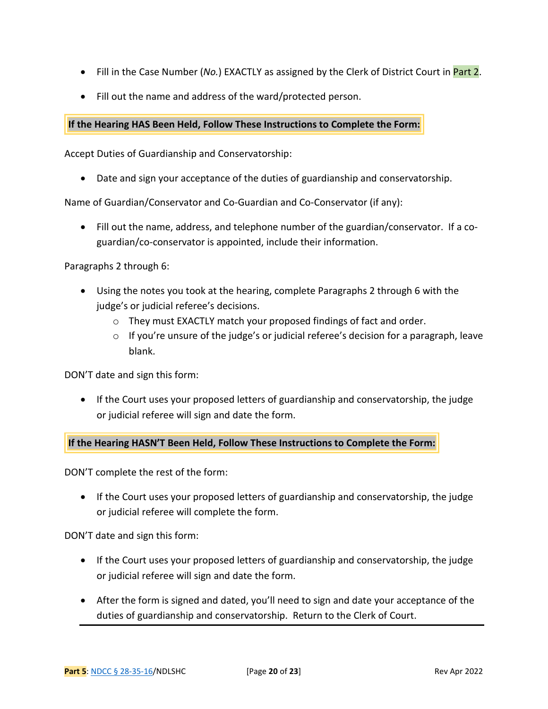- Fill in the Case Number (*No.*) EXACTLY as assigned by the Clerk of District Court in Part 2.
- Fill out the name and address of the ward/protected person.

#### **If the Hearing HAS Been Held, Follow These Instructions to Complete the Form:**

Accept Duties of Guardianship and Conservatorship:

• Date and sign your acceptance of the duties of guardianship and conservatorship.

Name of Guardian/Conservator and Co-Guardian and Co-Conservator (if any):

• Fill out the name, address, and telephone number of the guardian/conservator. If a coguardian/co-conservator is appointed, include their information.

Paragraphs 2 through 6:

- Using the notes you took at the hearing, complete Paragraphs 2 through 6 with the judge's or judicial referee's decisions.
	- $\circ$  They must EXACTLY match your proposed findings of fact and order.
	- $\circ$  If you're unsure of the judge's or judicial referee's decision for a paragraph, leave blank.

DON'T date and sign this form:

• If the Court uses your proposed letters of guardianship and conservatorship, the judge or judicial referee will sign and date the form.

**If the Hearing HASN'T Been Held, Follow These Instructions to Complete the Form:**

DON'T complete the rest of the form:

• If the Court uses your proposed letters of guardianship and conservatorship, the judge or judicial referee will complete the form.

DON'T date and sign this form:

- If the Court uses your proposed letters of guardianship and conservatorship, the judge or judicial referee will sign and date the form.
- After the form is signed and dated, you'll need to sign and date your acceptance of the duties of guardianship and conservatorship. Return to the Clerk of Court.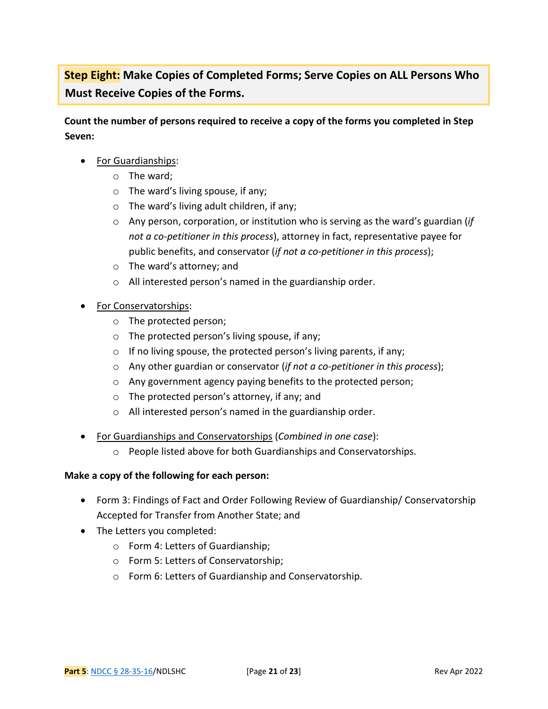**Step Eight: Make Copies of Completed Forms; Serve Copies on ALL Persons Who Must Receive Copies of the Forms.** 

**Count the number of persons required to receive a copy of the forms you completed in Step Seven:** 

- For Guardianships:
	- o The ward;
	- o The ward's living spouse, if any;
	- o The ward's living adult children, if any;
	- o Any person, corporation, or institution who is serving as the ward's guardian (*if not a co-petitioner in this process*), attorney in fact, representative payee for public benefits, and conservator (*if not a co-petitioner in this process*);
	- o The ward's attorney; and
	- o All interested person's named in the guardianship order.
- For Conservatorships:
	- o The protected person;
	- o The protected person's living spouse, if any;
	- $\circ$  If no living spouse, the protected person's living parents, if any;
	- o Any other guardian or conservator (*if not a co-petitioner in this process*);
	- o Any government agency paying benefits to the protected person;
	- o The protected person's attorney, if any; and
	- o All interested person's named in the guardianship order.
- For Guardianships and Conservatorships (*Combined in one case*):
	- o People listed above for both Guardianships and Conservatorships.

#### **Make a copy of the following for each person:**

- Form 3: Findings of Fact and Order Following Review of Guardianship/ Conservatorship Accepted for Transfer from Another State; and
- The Letters you completed:
	- o Form 4: Letters of Guardianship;
	- o Form 5: Letters of Conservatorship;
	- o Form 6: Letters of Guardianship and Conservatorship.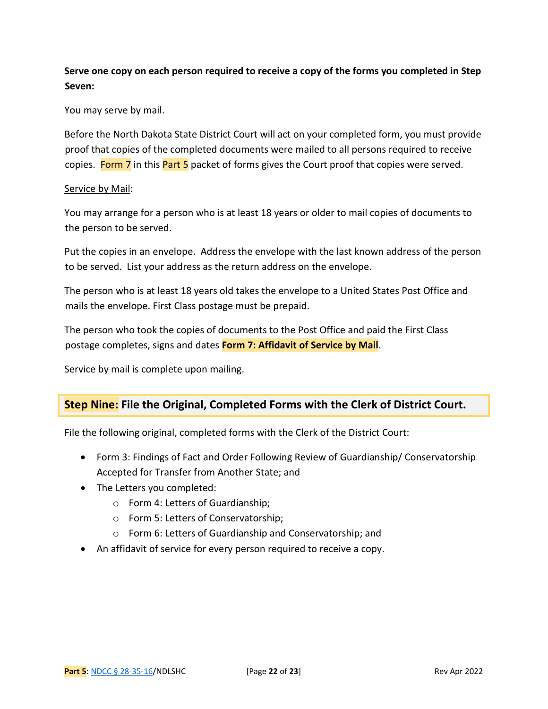### **Serve one copy on each person required to receive a copy of the forms you completed in Step Seven:**

You may serve by mail.

Before the North Dakota State District Court will act on your completed form, you must provide proof that copies of the completed documents were mailed to all persons required to receive copies. Form 7 in this Part 5 packet of forms gives the Court proof that copies were served.

#### Service by Mail:

You may arrange for a person who is at least 18 years or older to mail copies of documents to the person to be served.

Put the copies in an envelope. Address the envelope with the last known address of the person to be served. List your address as the return address on the envelope.

The person who is at least 18 years old takes the envelope to a United States Post Office and mails the envelope. First Class postage must be prepaid.

The person who took the copies of documents to the Post Office and paid the First Class postage completes, signs and dates **Form 7: Affidavit of Service by Mail**.

Service by mail is complete upon mailing.

### **Step Nine: File the Original, Completed Forms with the Clerk of District Court.**

File the following original, completed forms with the Clerk of the District Court:

- Form 3: Findings of Fact and Order Following Review of Guardianship/ Conservatorship Accepted for Transfer from Another State; and
- The Letters you completed:
	- o Form 4: Letters of Guardianship;
	- o Form 5: Letters of Conservatorship;
	- o Form 6: Letters of Guardianship and Conservatorship; and
- An affidavit of service for every person required to receive a copy.